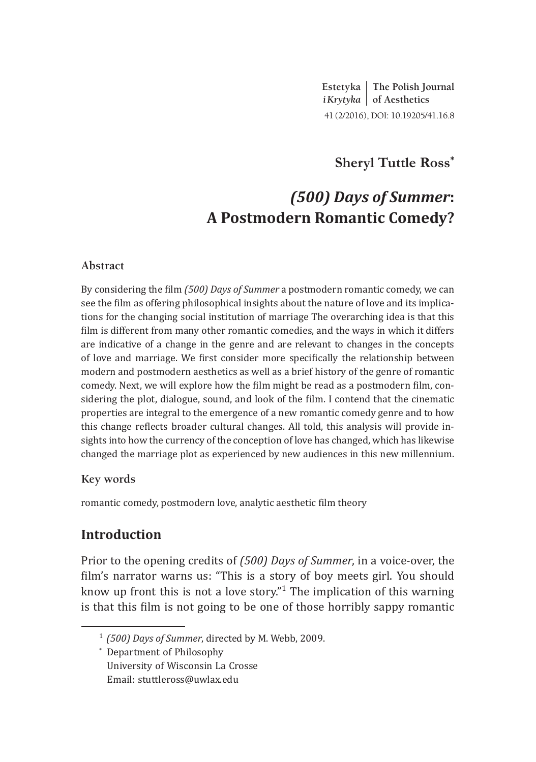**The Polish Journal Estetyka of Aesthetics** *iKrytyka*41(2/2016), DOI: 10.19205/41.16.8

**Sheryl Tuttle Ross\***

# *(500) Days of Summer***: A Postmodern Romantic Comedy?**

#### **Abstract**

By considering the film *(500) Days of Summer* a postmodern romantic comedy, we can see the film as offering philosophical insights about the nature of love and its implications for the changing social institution of marriage The overarching idea is that this film is different from many other romantic comedies, and the ways in which it differs are indicative of a change in the genre and are relevant to changes in the concepts of love and marriage. We first consider more specifically the relationship between modern and postmodern aesthetics as well as a brief history of the genre of romantic comedy. Next, we will explore how the film might be read as a postmodern film, considering the plot, dialogue, sound, and look of the film. I contend that the cinematic properties are integral to the emergence of a new romantic comedy genre and to how this change reflects broader cultural changes. All told, this analysis will provide insights into how the currency of the conception of love has changed, which has likewise changed the marriage plot as experienced by new audiences in this new millennium.

#### **Key words**

romantic comedy, postmodern love, analytic aesthetic film theory

## **Introduction**

Prior to the opening credits of *(500) Days of Summer*, in a voice-over, the film's narrator warns us: "This is a story of boy meets girl. You should know up front this is not a love story."<sup>1</sup> The implication of this warning is that this film is not going to be one of those horribly sappy romantic

<sup>1</sup>*(500) Days of Summer*, directed by M. Webb, 2009.

<sup>\*</sup> Department of Philosophy University of Wisconsin La Crosse

Email: stuttleross@uwlax.edu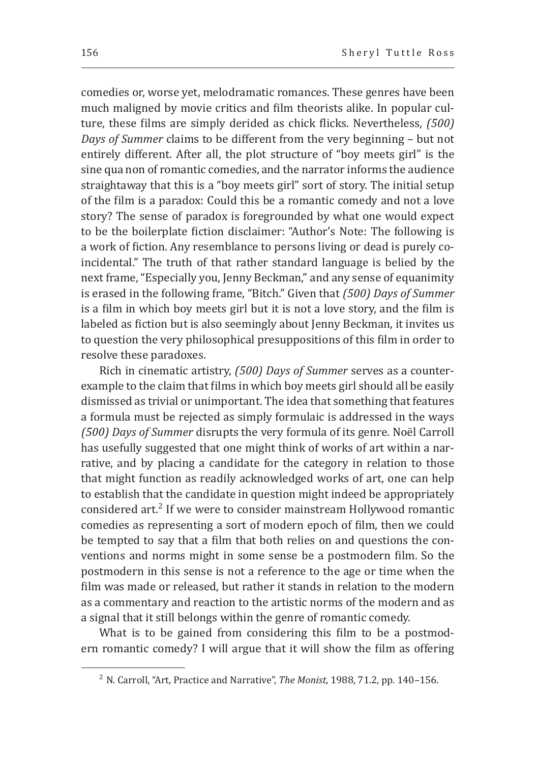comedies or, worse yet, melodramatic romances. These genres have been much maligned by movie critics and film theorists alike. In popular culture, these films are simply derided as chick flicks. Nevertheless, *(500) Days of Summer* claims to be different from the very beginning – but not entirely different. After all, the plot structure of "boy meets girl" is the sine qua non of romantic comedies, and the narrator informs the audience straightaway that this is a "boy meets girl" sort of story. The initial setup of the film is a paradox: Could this be a romantic comedy and not a love story? The sense of paradox is foregrounded by what one would expect to be the boilerplate fiction disclaimer: "Author's Note: The following is a work of fiction. Any resemblance to persons living or dead is purely coincidental." The truth of that rather standard language is belied by the next frame, "Especially you, Jenny Beckman," and any sense of equanimity is erased in the following frame, "Bitch." Given that *(500) Days of Summer* is a film in which boy meets girl but it is not a love story, and the film is labeled as fiction but is also seemingly about Jenny Beckman, it invites us to question the very philosophical presuppositions of this film in order to resolve these paradoxes.

Rich in cinematic artistry, *(500) Days of Summer* serves as a counterexample to the claim that films in which boy meets girl should all be easily dismissed as trivial or unimportant. The idea that something that features a formula must be rejected as simply formulaic is addressed in the ways *(500) Days of Summer* disrupts the very formula of its genre. Noël Carroll has usefully suggested that one might think of works of art within a narrative, and by placing a candidate for the category in relation to those that might function as readily acknowledged works of art, one can help to establish that the candidate in question might indeed be appropriately considered art.<sup>2</sup> If we were to consider mainstream Hollywood romantic comedies as representing a sort of modern epoch of film, then we could be tempted to say that a film that both relies on and questions the conventions and norms might in some sense be a postmodern film. So the postmodern in this sense is not a reference to the age or time when the film was made or released, but rather it stands in relation to the modern as a commentary and reaction to the artistic norms of the modern and as a signal that it still belongs within the genre of romantic comedy.

What is to be gained from considering this film to be a postmodern romantic comedy? I will argue that it will show the film as offering

<sup>2</sup> N. Carroll, "Art, Practice and Narrative", *The Monist*, 1988, 71.2, pp. 140–156.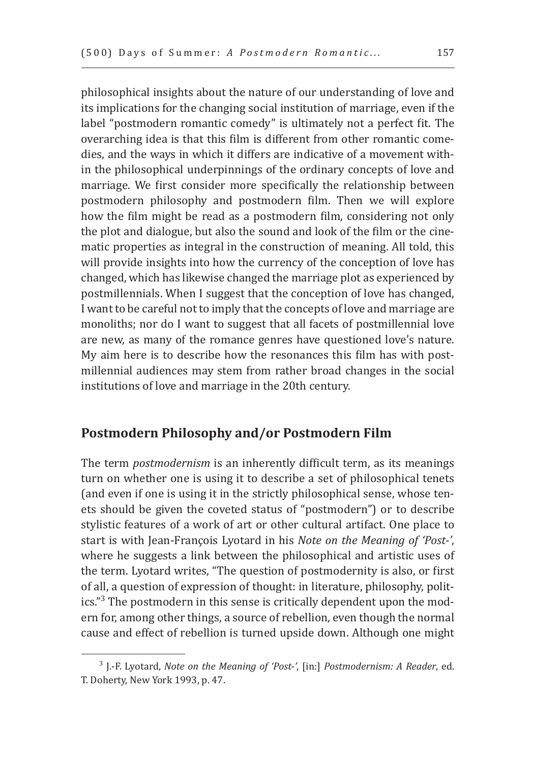philosophical insights about the nature of our understanding of love and its implications for the changing social institution of marriage, even if the label "postmodern romantic comedy" is ultimately not a perfect fit. The overarching idea is that this film is different from other romantic comedies, and the ways in which it differs are indicative of a movement within the philosophical underpinnings of the ordinary concepts of love and marriage. We first consider more specifically the relationship between postmodern philosophy and postmodern film. Then we will explore how the film might be read as a postmodern film, considering not only the plot and dialogue, but also the sound and look of the film or the cinematic properties as integral in the construction of meaning. All told, this will provide insights into how the currency of the conception of love has changed, which has likewise changed the marriage plot as experienced by postmillennials. When I suggest that the conception of love has changed, I want to be careful not to imply that the concepts of love and marriage are monoliths; nor do I want to suggest that all facets of postmillennial love are new, as many of the romance genres have questioned love's nature. My aim here is to describe how the resonances this film has with postmillennial audiences may stem from rather broad changes in the social institutions of love and marriage in the 20th century.

## **Postmodern Philosophy and/or Postmodern Film**

The term *postmodernism* is an inherently difficult term, as its meanings turn on whether one is using it to describe a set of philosophical tenets (and even if one is using it in the strictly philosophical sense, whose tenets should be given the coveted status of "postmodern") or to describe stylistic features of a work of art or other cultural artifact. One place to start is with Jean-François Lyotard in his *Note on the Meaning of 'Post-'*, where he suggests a link between the philosophical and artistic uses of the term. Lyotard writes, "The question of postmodernity is also, or first of all, a question of expression of thought: in literature, philosophy, politics."<sup>3</sup> The postmodern in this sense is critically dependent upon the modern for, among other things, a source of rebellion, even though the normal cause and effect of rebellion is turned upside down. Although one might

<sup>3</sup> J.-F. Lyotard, *Note on the Meaning of 'Post-'*, [in:] *Postmodernism: A Reader*, ed. T. Doherty, New York 1993, p. 47.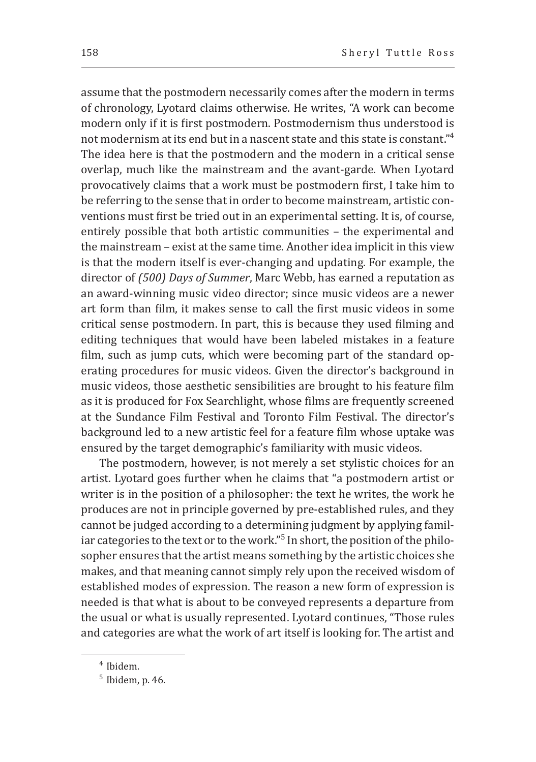assume that the postmodern necessarily comes after the modern in terms of chronology, Lyotard claims otherwise. He writes, "A work can become modern only if it is first postmodern. Postmodernism thus understood is not modernism at its end but in a nascent state and this state is constant."<sup>4</sup> The idea here is that the postmodern and the modern in a critical sense overlap, much like the mainstream and the avant-garde. When Lyotard provocatively claims that a work must be postmodern first, I take him to be referring to the sense that in order to become mainstream, artistic conventions must first be tried out in an experimental setting. It is, of course, entirely possible that both artistic communities – the experimental and the mainstream – exist at the same time. Another idea implicit in this view is that the modern itself is ever-changing and updating. For example, the director of *(500) Days of Summer*, Marc Webb, has earned a reputation as an award-winning music video director; since music videos are a newer art form than film, it makes sense to call the first music videos in some critical sense postmodern. In part, this is because they used filming and editing techniques that would have been labeled mistakes in a feature film, such as jump cuts, which were becoming part of the standard operating procedures for music videos. Given the director's background in music videos, those aesthetic sensibilities are brought to his feature film as it is produced for Fox Searchlight, whose films are frequently screened at the Sundance Film Festival and Toronto Film Festival. The director's background led to a new artistic feel for a feature film whose uptake was ensured by the target demographic's familiarity with music videos.

The postmodern, however, is not merely a set stylistic choices for an artist. Lyotard goes further when he claims that "a postmodern artist or writer is in the position of a philosopher: the text he writes, the work he produces are not in principle governed by pre-established rules, and they cannot be judged according to a determining judgment by applying familiar categories to the text or to the work."<sup>5</sup> In short, the position of the philosopher ensures that the artist means something by the artistic choices she makes, and that meaning cannot simply rely upon the received wisdom of established modes of expression. The reason a new form of expression is needed is that what is about to be conveyed represents a departure from the usual or what is usually represented. Lyotard continues, "Those rules and categories are what the work of art itself is looking for. The artist and

<sup>4</sup> Ibidem.

 $<sup>5</sup>$  Ibidem, p. 46.</sup>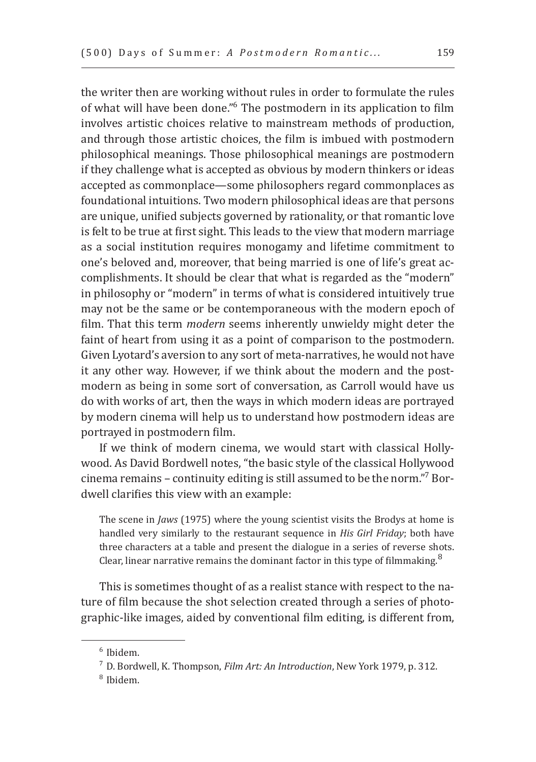the writer then are working without rules in order to formulate the rules of what will have been done."<sup>6</sup> The postmodern in its application to film involves artistic choices relative to mainstream methods of production, and through those artistic choices, the film is imbued with postmodern philosophical meanings. Those philosophical meanings are postmodern if they challenge what is accepted as obvious by modern thinkers or ideas accepted as commonplace—some philosophers regard commonplaces as foundational intuitions. Two modern philosophical ideas are that persons are unique, unified subjects governed by rationality, or that romantic love is felt to be true at first sight. This leads to the view that modern marriage as a social institution requires monogamy and lifetime commitment to one's beloved and, moreover, that being married is one of life's great accomplishments. It should be clear that what is regarded as the "modern" in philosophy or "modern" in terms of what is considered intuitively true may not be the same or be contemporaneous with the modern epoch of film. That this term *modern* seems inherently unwieldy might deter the faint of heart from using it as a point of comparison to the postmodern. Given Lyotard's aversion to any sort of meta-narratives, he would not have it any other way. However, if we think about the modern and the postmodern as being in some sort of conversation, as Carroll would have us do with works of art, then the ways in which modern ideas are portrayed by modern cinema will help us to understand how postmodern ideas are portrayed in postmodern film.

If we think of modern cinema, we would start with classical Hollywood. As David Bordwell notes, "the basic style of the classical Hollywood cinema remains – continuity editing is still assumed to be the norm."<sup>7</sup> Bordwell clarifies this view with an example:

The scene in *Jaws* (1975) where the young scientist visits the Brodys at home is handled very similarly to the restaurant sequence in *His Girl Friday*; both have three characters at a table and present the dialogue in a series of reverse shots. Clear, linear narrative remains the dominant factor in this type of filmmaking.<sup>8</sup>

This is sometimes thought of as a realist stance with respect to the nature of film because the shot selection created through a series of photographic-like images, aided by conventional film editing, is different from,

<sup>6</sup> Ibidem.

<sup>7</sup> D. Bordwell, K. Thompson, *Film Art: An Introduction*, New York 1979, p. 312.

<sup>8</sup> Ibidem.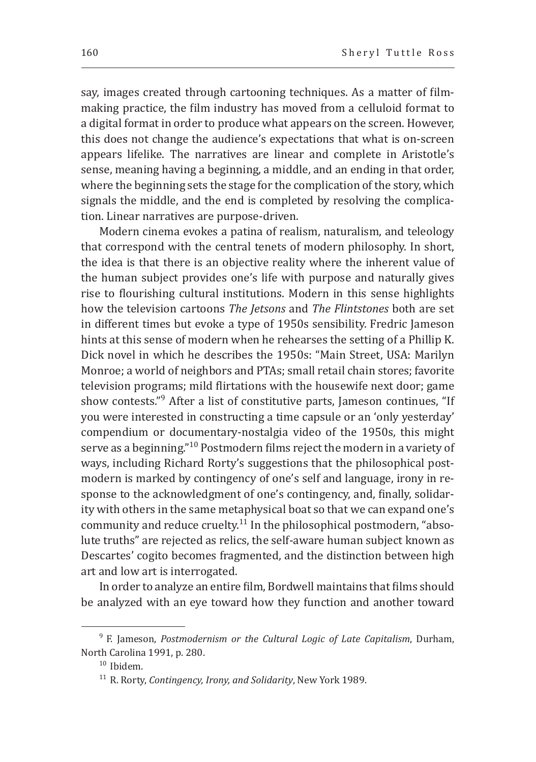say, images created through cartooning techniques. As a matter of filmmaking practice, the film industry has moved from a celluloid format to a digital format in order to produce what appears on the screen. However, this does not change the audience's expectations that what is on-screen appears lifelike. The narratives are linear and complete in Aristotle's sense, meaning having a beginning, a middle, and an ending in that order, where the beginning sets the stage for the complication of the story, which signals the middle, and the end is completed by resolving the complication. Linear narratives are purpose-driven.

Modern cinema evokes a patina of realism, naturalism, and teleology that correspond with the central tenets of modern philosophy. In short, the idea is that there is an objective reality where the inherent value of the human subject provides one's life with purpose and naturally gives rise to flourishing cultural institutions. Modern in this sense highlights how the television cartoons *The Jetsons* and *The Flintstones* both are set in different times but evoke a type of 1950s sensibility. Fredric Jameson hints at this sense of modern when he rehearses the setting of a Phillip K. Dick novel in which he describes the 1950s: "Main Street, USA: Marilyn Monroe; a world of neighbors and PTAs; small retail chain stores; favorite television programs; mild flirtations with the housewife next door; game show contests."<sup>9</sup> After a list of constitutive parts, Jameson continues, "If you were interested in constructing a time capsule or an 'only yesterday' compendium or documentary-nostalgia video of the 1950s, this might serve as a beginning."10 Postmodern films reject the modern in a variety of ways, including Richard Rorty's suggestions that the philosophical postmodern is marked by contingency of one's self and language, irony in response to the acknowledgment of one's contingency, and, finally, solidarity with others in the same metaphysical boat so that we can expand one's community and reduce cruelty.<sup>11</sup> In the philosophical postmodern, "absolute truths" are rejected as relics, the self-aware human subject known as Descartes' cogito becomes fragmented, and the distinction between high art and low art is interrogated.

In order to analyze an entire film, Bordwell maintains that films should be analyzed with an eye toward how they function and another toward

<sup>9</sup> F. Jameson, *Postmodernism or the Cultural Logic of Late Capitalism*, Durham, North Carolina 1991, p. 280. 10 Ibidem.

<sup>11</sup> R. Rorty, *Contingency, Irony, and Solidarity*, New York 1989.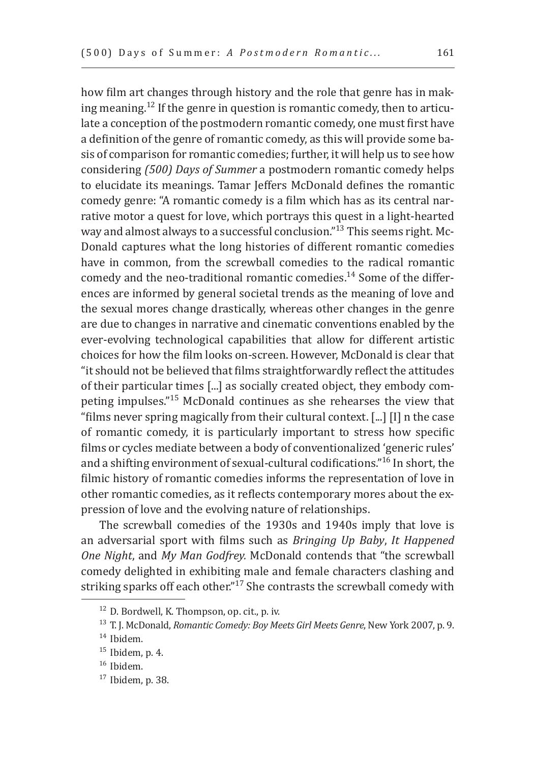how film art changes through history and the role that genre has in making meaning.12 If the genre in question is romantic comedy, then to articulate a conception of the postmodern romantic comedy, one must first have a definition of the genre of romantic comedy, as this will provide some basis of comparison for romantic comedies; further, it will help us to see how considering *(500) Days of Summer* a postmodern romantic comedy helps to elucidate its meanings. Tamar Jeffers McDonald defines the romantic comedy genre: "A romantic comedy is a film which has as its central narrative motor a quest for love, which portrays this quest in a light-hearted way and almost always to a successful conclusion."<sup>13</sup> This seems right. Mc-Donald captures what the long histories of different romantic comedies have in common, from the screwball comedies to the radical romantic comedy and the neo-traditional romantic comedies.<sup>14</sup> Some of the differences are informed by general societal trends as the meaning of love and the sexual mores change drastically, whereas other changes in the genre are due to changes in narrative and cinematic conventions enabled by the ever-evolving technological capabilities that allow for different artistic choices for how the film looks on-screen. However, McDonald is clear that "it should not be believed that films straightforwardly reflect the attitudes of their particular times [...] as socially created object, they embody competing impulses."<sup>15</sup> McDonald continues as she rehearses the view that "films never spring magically from their cultural context. [...] [I] n the case of romantic comedy, it is particularly important to stress how specific films or cycles mediate between a body of conventionalized 'generic rules' and a shifting environment of sexual-cultural codifications."<sup>16</sup> In short, the filmic history of romantic comedies informs the representation of love in other romantic comedies, as it reflects contemporary mores about the expression of love and the evolving nature of relationships.

The screwball comedies of the 1930s and 1940s imply that love is an adversarial sport with films such as *Bringing Up Baby*, *It Happened One Night*, and *My Man Godfrey.* McDonald contends that "the screwball comedy delighted in exhibiting male and female characters clashing and striking sparks off each other."<sup>17</sup> She contrasts the screwball comedy with

<sup>12</sup> D. Bordwell, K. Thompson, op. cit., p. iv.

<sup>13</sup> T. J. McDonald, *Romantic Comedy: Boy Meets Girl Meets Genre*, New York 2007, p. 9.

<sup>14</sup> Ibidem.

 $15$  Ibidem, p. 4.

<sup>16</sup> Ibidem.

 $17$  Ibidem, p. 38.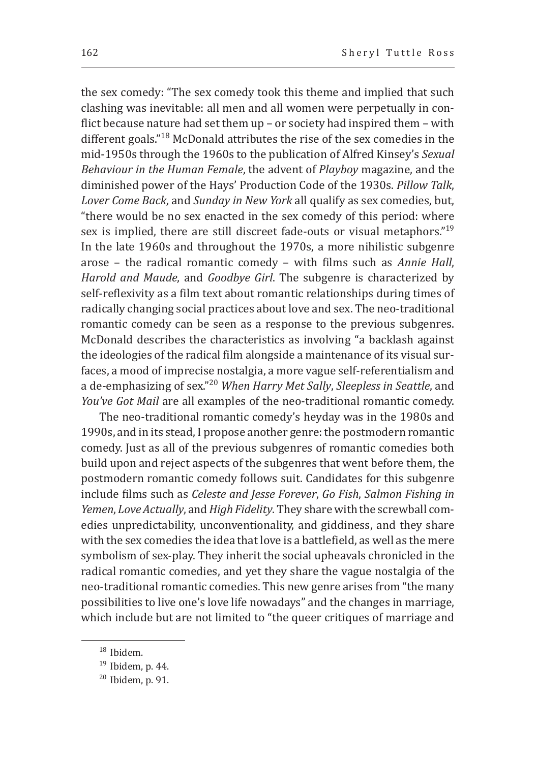the sex comedy: "The sex comedy took this theme and implied that such clashing was inevitable: all men and all women were perpetually in conflict because nature had set them up – or society had inspired them – with different goals."18 McDonald attributes the rise of the sex comedies in the mid-1950s through the 1960s to the publication of Alfred Kinsey's *Sexual Behaviour in the Human Female*, the advent of *Playboy* magazine, and the diminished power of the Hays' Production Code of the 1930s. *Pillow Talk*, *Lover Come Back*, and *Sunday in New York* all qualify as sex comedies, but, "there would be no sex enacted in the sex comedy of this period: where sex is implied, there are still discreet fade-outs or visual metaphors."<sup>19</sup> In the late 1960s and throughout the 1970s, a more nihilistic subgenre arose – the radical romantic comedy – with films such as *Annie Hall*, *Harold and Maude*, and *Goodbye Girl*. The subgenre is characterized by self-reflexivity as a film text about romantic relationships during times of radically changing social practices about love and sex. The neo-traditional romantic comedy can be seen as a response to the previous subgenres. McDonald describes the characteristics as involving "a backlash against the ideologies of the radical film alongside a maintenance of its visual surfaces, a mood of imprecise nostalgia, a more vague self-referentialism and a de-emphasizing of sex."<sup>20</sup> *When Harry Met Sally*, *Sleepless in Seattle*, and *You've Got Mail* are all examples of the neo-traditional romantic comedy.

The neo-traditional romantic comedy's heyday was in the 1980s and 1990s, and in its stead, I propose another genre: the postmodern romantic comedy. Just as all of the previous subgenres of romantic comedies both build upon and reject aspects of the subgenres that went before them, the postmodern romantic comedy follows suit. Candidates for this subgenre include films such as *Celeste and Jesse Forever*, *Go Fish*, *Salmon Fishing in Yemen*, *Love Actually*, and *High Fidelity*. They share with the screwball comedies unpredictability, unconventionality, and giddiness, and they share with the sex comedies the idea that love is a battlefield, as well as the mere symbolism of sex-play. They inherit the social upheavals chronicled in the radical romantic comedies, and yet they share the vague nostalgia of the neo-traditional romantic comedies. This new genre arises from "the many possibilities to live one's love life nowadays" and the changes in marriage, which include but are not limited to "the queer critiques of marriage and

<sup>18</sup> Ibidem.

 $19$  Ibidem, p. 44.

<sup>20</sup> Ibidem, p. 91.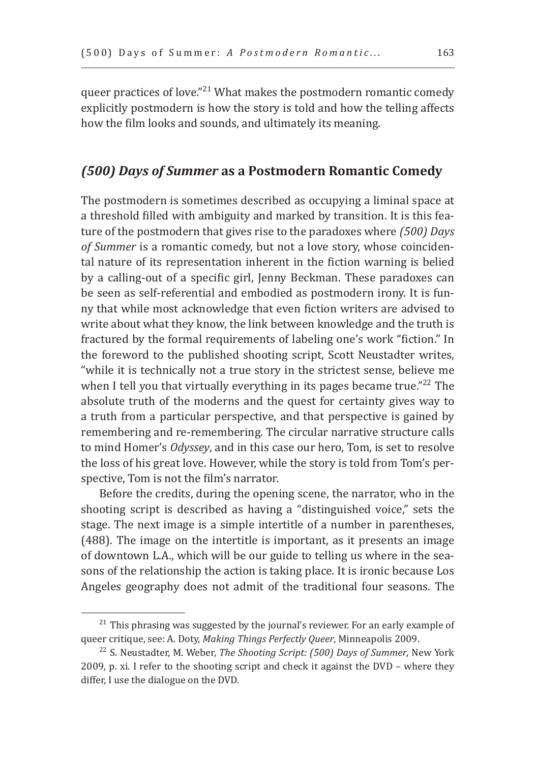queer practices of love."<sup>21</sup> What makes the postmodern romantic comedy explicitly postmodern is how the story is told and how the telling affects how the film looks and sounds, and ultimately its meaning.

#### *(500) Days of Summer* **as a Postmodern Romantic Comedy**

The postmodern is sometimes described as occupying a liminal space at a threshold filled with ambiguity and marked by transition. It is this feature of the postmodern that gives rise to the paradoxes where *(500) Days of Summer* is a romantic comedy, but not a love story, whose coincidental nature of its representation inherent in the fiction warning is belied by a calling-out of a specific girl, Jenny Beckman. These paradoxes can be seen as self-referential and embodied as postmodern irony. It is funny that while most acknowledge that even fiction writers are advised to write about what they know, the link between knowledge and the truth is fractured by the formal requirements of labeling one's work "fiction." In the foreword to the published shooting script, Scott Neustadter writes, "while it is technically not a true story in the strictest sense, believe me when I tell you that virtually everything in its pages became true." $22$  The absolute truth of the moderns and the quest for certainty gives way to a truth from a particular perspective, and that perspective is gained by remembering and re-remembering. The circular narrative structure calls to mind Homer's *Odyssey*, and in this case our hero, Tom, is set to resolve the loss of his great love. However, while the story is told from Tom's perspective, Tom is not the film's narrator.

Before the credits, during the opening scene, the narrator, who in the shooting script is described as having a "distinguished voice," sets the stage. The next image is a simple intertitle of a number in parentheses, (488). The image on the intertitle is important, as it presents an image of downtown L.A., which will be our guide to telling us where in the seasons of the relationship the action is taking place. It is ironic because Los Angeles geography does not admit of the traditional four seasons. The

 $21$  This phrasing was suggested by the journal's reviewer. For an early example of queer critique, see: A. Doty, *Making Things Perfectly Queer*, Minneapolis 2009.

<sup>22</sup> S. Neustadter, M. Weber, *The Shooting Script: (500) Days of Summer*, New York 2009, p. xi. I refer to the shooting script and check it against the DVD – where they differ, I use the dialogue on the DVD.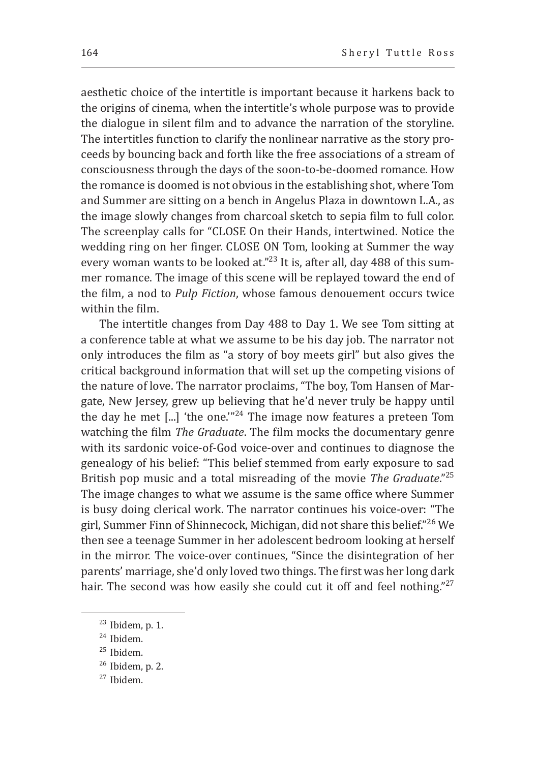aesthetic choice of the intertitle is important because it harkens back to the origins of cinema, when the intertitle's whole purpose was to provide the dialogue in silent film and to advance the narration of the storyline. The intertitles function to clarify the nonlinear narrative as the story proceeds by bouncing back and forth like the free associations of a stream of consciousness through the days of the soon-to-be-doomed romance. How the romance is doomed is not obvious in the establishing shot, where Tom and Summer are sitting on a bench in Angelus Plaza in downtown L.A., as the image slowly changes from charcoal sketch to sepia film to full color. The screenplay calls for "CLOSE On their Hands, intertwined. Notice the wedding ring on her finger. CLOSE ON Tom, looking at Summer the way every woman wants to be looked at."<sup>23</sup> It is, after all, day 488 of this summer romance. The image of this scene will be replayed toward the end of the film, a nod to *Pulp Fiction*, whose famous denouement occurs twice within the film.

The intertitle changes from Day 488 to Day 1. We see Tom sitting at a conference table at what we assume to be his day job. The narrator not only introduces the film as "a story of boy meets girl" but also gives the critical background information that will set up the competing visions of the nature of love. The narrator proclaims, "The boy, Tom Hansen of Margate, New Jersey, grew up believing that he'd never truly be happy until the day he met  $[...]$  'the one."<sup>24</sup> The image now features a preteen Tom watching the film *The Graduate*. The film mocks the documentary genre with its sardonic voice-of-God voice-over and continues to diagnose the genealogy of his belief: "This belief stemmed from early exposure to sad British pop music and a total misreading of the movie *The Graduate*."<sup>25</sup> The image changes to what we assume is the same office where Summer is busy doing clerical work. The narrator continues his voice-over: "The girl, Summer Finn of Shinnecock, Michigan, did not share this belief."26 We then see a teenage Summer in her adolescent bedroom looking at herself in the mirror. The voice-over continues, "Since the disintegration of her parents' marriage, she'd only loved two things. The first was her long dark hair. The second was how easily she could cut it off and feel nothing."<sup>27</sup>

- 25 Ibidem.
- $26$  Ibidem, p. 2.
- 27 Ibidem.

<sup>23</sup> Ibidem, p. 1.

<sup>24</sup> Ibidem.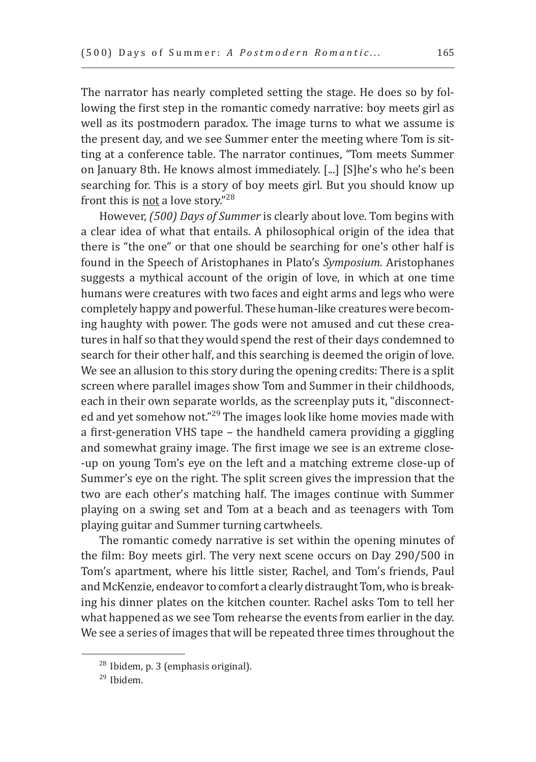The narrator has nearly completed setting the stage. He does so by following the first step in the romantic comedy narrative: boy meets girl as well as its postmodern paradox. The image turns to what we assume is the present day, and we see Summer enter the meeting where Tom is sitting at a conference table. The narrator continues, "Tom meets Summer on January 8th. He knows almost immediately. [...] [S]he's who he's been searching for. This is a story of boy meets girl. But you should know up front this is not a love story."<sup>28</sup>

However, *(500) Days of Summer* is clearly about love. Tom begins with a clear idea of what that entails. A philosophical origin of the idea that there is "the one" or that one should be searching for one's other half is found in the Speech of Aristophanes in Plato's *Symposium*. Aristophanes suggests a mythical account of the origin of love, in which at one time humans were creatures with two faces and eight arms and legs who were completely happy and powerful. These human-like creatures were becoming haughty with power. The gods were not amused and cut these creatures in half so that they would spend the rest of their days condemned to search for their other half, and this searching is deemed the origin of love. We see an allusion to this story during the opening credits: There is a split screen where parallel images show Tom and Summer in their childhoods, each in their own separate worlds, as the screenplay puts it, "disconnected and yet somehow not."<sup>29</sup> The images look like home movies made with a first-generation VHS tape – the handheld camera providing a giggling and somewhat grainy image. The first image we see is an extreme close- -up on young Tom's eye on the left and a matching extreme close-up of Summer's eye on the right. The split screen gives the impression that the two are each other's matching half. The images continue with Summer playing on a swing set and Tom at a beach and as teenagers with Tom playing guitar and Summer turning cartwheels.

The romantic comedy narrative is set within the opening minutes of the film: Boy meets girl. The very next scene occurs on Day 290/500 in Tom's apartment, where his little sister, Rachel, and Tom's friends, Paul and McKenzie, endeavor to comfort a clearly distraught Tom, who is breaking his dinner plates on the kitchen counter. Rachel asks Tom to tell her what happened as we see Tom rehearse the events from earlier in the day. We see a series of images that will be repeated three times throughout the

<sup>28</sup> Ibidem, p. 3 (emphasis original).

<sup>29</sup> Ibidem.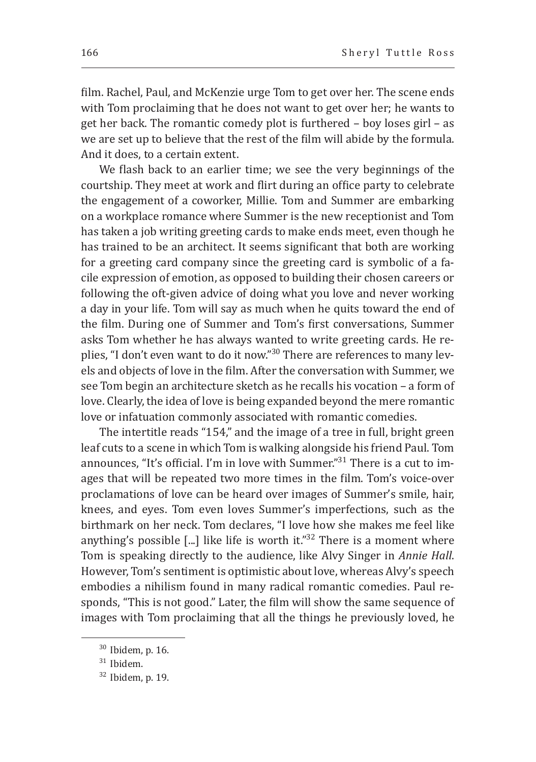film. Rachel, Paul, and McKenzie urge Tom to get over her. The scene ends with Tom proclaiming that he does not want to get over her; he wants to get her back. The romantic comedy plot is furthered – boy loses girl – as we are set up to believe that the rest of the film will abide by the formula. And it does, to a certain extent.

We flash back to an earlier time; we see the very beginnings of the courtship. They meet at work and flirt during an office party to celebrate the engagement of a coworker, Millie. Tom and Summer are embarking on a workplace romance where Summer is the new receptionist and Tom has taken a job writing greeting cards to make ends meet, even though he has trained to be an architect. It seems significant that both are working for a greeting card company since the greeting card is symbolic of a facile expression of emotion, as opposed to building their chosen careers or following the oft-given advice of doing what you love and never working a day in your life. Tom will say as much when he quits toward the end of the film. During one of Summer and Tom's first conversations, Summer asks Tom whether he has always wanted to write greeting cards. He replies, "I don't even want to do it now."<sup>30</sup> There are references to many levels and objects of love in the film. After the conversation with Summer, we see Tom begin an architecture sketch as he recalls his vocation – a form of love. Clearly, the idea of love is being expanded beyond the mere romantic love or infatuation commonly associated with romantic comedies.

The intertitle reads "154," and the image of a tree in full, bright green leaf cuts to a scene in which Tom is walking alongside his friend Paul. Tom announces, "It's official. I'm in love with Summer."<sup>31</sup> There is a cut to images that will be repeated two more times in the film. Tom's voice-over proclamations of love can be heard over images of Summer's smile, hair, knees, and eyes. Tom even loves Summer's imperfections, such as the birthmark on her neck. Tom declares, "I love how she makes me feel like anything's possible  $\lceil ... \rceil$  like life is worth it."<sup>32</sup> There is a moment where Tom is speaking directly to the audience, like Alvy Singer in *Annie Hall*. However, Tom's sentiment is optimistic about love, whereas Alvy's speech embodies a nihilism found in many radical romantic comedies. Paul responds, "This is not good." Later, the film will show the same sequence of images with Tom proclaiming that all the things he previously loved, he

<sup>30</sup> Ibidem, p. 16.

<sup>31</sup> Ibidem.

<sup>32</sup> Ibidem, p. 19.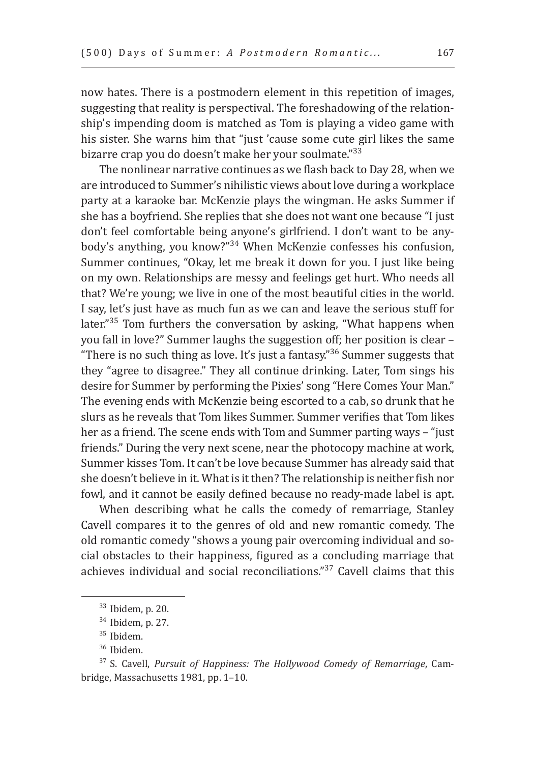now hates. There is a postmodern element in this repetition of images, suggesting that reality is perspectival. The foreshadowing of the relationship's impending doom is matched as Tom is playing a video game with his sister. She warns him that "just 'cause some cute girl likes the same bizarre crap you do doesn't make her your soulmate."<sup>33</sup>

The nonlinear narrative continues as we flash back to Day 28, when we are introduced to Summer's nihilistic views about love during a workplace party at a karaoke bar. McKenzie plays the wingman. He asks Summer if she has a boyfriend. She replies that she does not want one because "I just don't feel comfortable being anyone's girlfriend. I don't want to be anybody's anything, you know?"34 When McKenzie confesses his confusion, Summer continues, "Okay, let me break it down for you. I just like being on my own. Relationships are messy and feelings get hurt. Who needs all that? We're young; we live in one of the most beautiful cities in the world. I say, let's just have as much fun as we can and leave the serious stuff for later."<sup>35</sup> Tom furthers the conversation by asking, "What happens when you fall in love?" Summer laughs the suggestion off; her position is clear – "There is no such thing as love. It's just a fantasy."<sup>36</sup> Summer suggests that they "agree to disagree." They all continue drinking. Later, Tom sings his desire for Summer by performing the Pixies' song "Here Comes Your Man." The evening ends with McKenzie being escorted to a cab, so drunk that he slurs as he reveals that Tom likes Summer. Summer verifies that Tom likes her as a friend. The scene ends with Tom and Summer parting ways – "just friends." During the very next scene, near the photocopy machine at work, Summer kisses Tom. It can't be love because Summer has already said that she doesn't believe in it. What is it then? The relationship is neither fish nor fowl, and it cannot be easily defined because no ready-made label is apt.

When describing what he calls the comedy of remarriage, Stanley Cavell compares it to the genres of old and new romantic comedy. The old romantic comedy "shows a young pair overcoming individual and social obstacles to their happiness, figured as a concluding marriage that achieves individual and social reconciliations."<sup>37</sup> Cavell claims that this

<sup>33</sup> Ibidem, p. 20.

<sup>34</sup> Ibidem, p. 27.

<sup>35</sup> Ibidem.

<sup>36</sup> Ibidem.

<sup>37</sup> S. Cavell, *Pursuit of Happiness: The Hollywood Comedy of Remarriage*, Cambridge, Massachusetts 1981, pp. 1–10.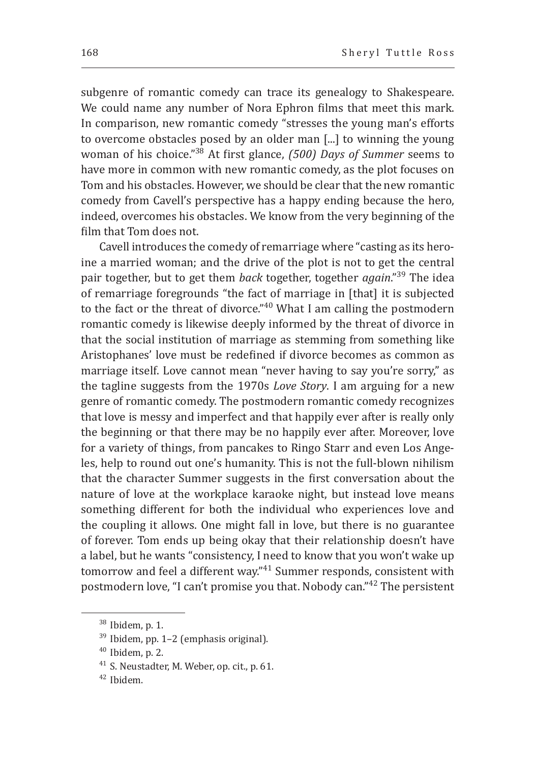subgenre of romantic comedy can trace its genealogy to Shakespeare. We could name any number of Nora Ephron films that meet this mark. In comparison, new romantic comedy "stresses the young man's efforts to overcome obstacles posed by an older man [...] to winning the young woman of his choice."38 At first glance, *(500) Days of Summer* seems to have more in common with new romantic comedy, as the plot focuses on Tom and his obstacles. However, we should be clear that the new romantic comedy from Cavell's perspective has a happy ending because the hero, indeed, overcomes his obstacles. We know from the very beginning of the film that Tom does not.

Cavell introduces the comedy of remarriage where "casting as its heroine a married woman; and the drive of the plot is not to get the central pair together, but to get them *back* together, together *again*."39 The idea of remarriage foregrounds "the fact of marriage in [that] it is subjected to the fact or the threat of divorce."40 What I am calling the postmodern romantic comedy is likewise deeply informed by the threat of divorce in that the social institution of marriage as stemming from something like Aristophanes' love must be redefined if divorce becomes as common as marriage itself. Love cannot mean "never having to say you're sorry," as the tagline suggests from the 1970s *Love Story*. I am arguing for a new genre of romantic comedy. The postmodern romantic comedy recognizes that love is messy and imperfect and that happily ever after is really only the beginning or that there may be no happily ever after. Moreover, love for a variety of things, from pancakes to Ringo Starr and even Los Angeles, help to round out one's humanity. This is not the full-blown nihilism that the character Summer suggests in the first conversation about the nature of love at the workplace karaoke night, but instead love means something different for both the individual who experiences love and the coupling it allows. One might fall in love, but there is no guarantee of forever. Tom ends up being okay that their relationship doesn't have a label, but he wants "consistency, I need to know that you won't wake up tomorrow and feel a different way."<sup>41</sup> Summer responds, consistent with postmodern love, "I can't promise you that. Nobody can."42 The persistent

<sup>38</sup> Ibidem, p. 1.

<sup>39</sup> Ibidem, pp. 1–2 (emphasis original).

 $40$  Ibidem, p. 2.

 $41$  S. Neustadter, M. Weber, op. cit., p. 61.

<sup>42</sup> Ibidem.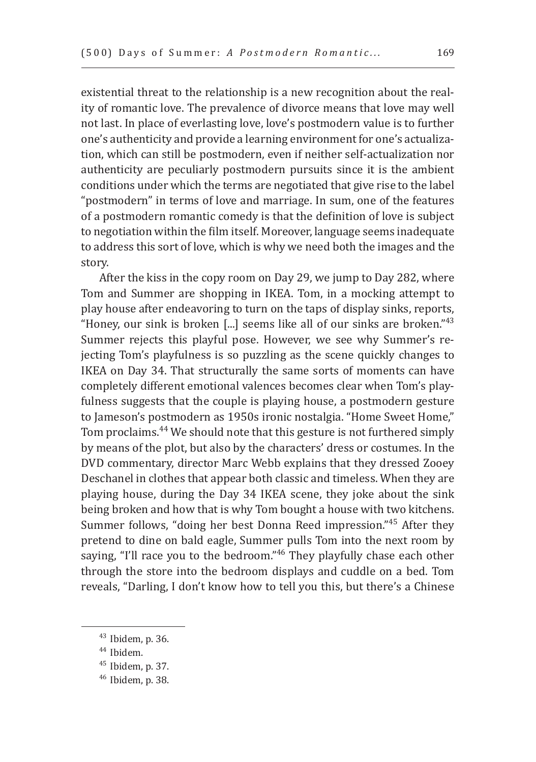existential threat to the relationship is a new recognition about the reality of romantic love. The prevalence of divorce means that love may well not last. In place of everlasting love, love's postmodern value is to further one's authenticity and provide a learning environment for one's actualization, which can still be postmodern, even if neither self-actualization nor authenticity are peculiarly postmodern pursuits since it is the ambient conditions under which the terms are negotiated that give rise to the label "postmodern" in terms of love and marriage. In sum, one of the features of a postmodern romantic comedy is that the definition of love is subject to negotiation within the film itself. Moreover, language seems inadequate to address this sort of love, which is why we need both the images and the story.

After the kiss in the copy room on Day 29, we jump to Day 282, where Tom and Summer are shopping in IKEA. Tom, in a mocking attempt to play house after endeavoring to turn on the taps of display sinks, reports, "Honey, our sink is broken [...] seems like all of our sinks are broken."<sup>43</sup> Summer rejects this playful pose. However, we see why Summer's rejecting Tom's playfulness is so puzzling as the scene quickly changes to IKEA on Day 34. That structurally the same sorts of moments can have completely different emotional valences becomes clear when Tom's playfulness suggests that the couple is playing house, a postmodern gesture to Jameson's postmodern as 1950s ironic nostalgia. "Home Sweet Home," Tom proclaims.<sup>44</sup> We should note that this gesture is not furthered simply by means of the plot, but also by the characters' dress or costumes. In the DVD commentary, director Marc Webb explains that they dressed Zooey Deschanel in clothes that appear both classic and timeless. When they are playing house, during the Day 34 IKEA scene, they joke about the sink being broken and how that is why Tom bought a house with two kitchens. Summer follows, "doing her best Donna Reed impression."45 After they pretend to dine on bald eagle, Summer pulls Tom into the next room by saying, "I'll race you to the bedroom."<sup>46</sup> They playfully chase each other through the store into the bedroom displays and cuddle on a bed. Tom reveals, "Darling, I don't know how to tell you this, but there's a Chinese

 $43$  Ibidem, p. 36.

<sup>44</sup> Ibidem.

 $45$  Ibidem, p. 37.

<sup>46</sup> Ibidem, p. 38.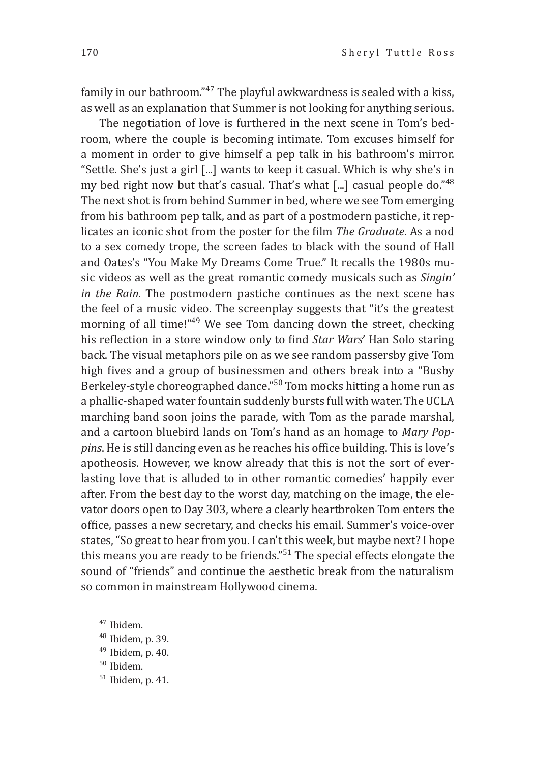family in our bathroom."47 The playful awkwardness is sealed with a kiss, as well as an explanation that Summer is not looking for anything serious.

The negotiation of love is furthered in the next scene in Tom's bedroom, where the couple is becoming intimate. Tom excuses himself for a moment in order to give himself a pep talk in his bathroom's mirror. "Settle. She's just a girl [...] wants to keep it casual. Which is why she's in my bed right now but that's casual. That's what [...] casual people do."<sup>48</sup> The next shot is from behind Summer in bed, where we see Tom emerging from his bathroom pep talk, and as part of a postmodern pastiche, it replicates an iconic shot from the poster for the film *The Graduate*. As a nod to a sex comedy trope, the screen fades to black with the sound of Hall and Oates's "You Make My Dreams Come True." It recalls the 1980s music videos as well as the great romantic comedy musicals such as *Singin' in the Rain*. The postmodern pastiche continues as the next scene has the feel of a music video. The screenplay suggests that "it's the greatest morning of all time!"49 We see Tom dancing down the street, checking his reflection in a store window only to find *Star Wars*' Han Solo staring back. The visual metaphors pile on as we see random passersby give Tom high fives and a group of businessmen and others break into a "Busby Berkeley-style choreographed dance."50 Tom mocks hitting a home run as a phallic-shaped water fountain suddenly bursts full with water. The UCLA marching band soon joins the parade, with Tom as the parade marshal, and a cartoon bluebird lands on Tom's hand as an homage to *Mary Poppins*. He is still dancing even as he reaches his office building. This is love's apotheosis. However, we know already that this is not the sort of everlasting love that is alluded to in other romantic comedies' happily ever after. From the best day to the worst day, matching on the image, the elevator doors open to Day 303, where a clearly heartbroken Tom enters the office, passes a new secretary, and checks his email. Summer's voice-over states, "So great to hear from you. I can't this week, but maybe next? I hope this means you are ready to be friends."<sup>51</sup> The special effects elongate the sound of "friends" and continue the aesthetic break from the naturalism so common in mainstream Hollywood cinema.

<sup>47</sup> Ibidem.

<sup>48</sup> Ibidem, p. 39.

<sup>49</sup> Ibidem, p. 40.

<sup>50</sup> Ibidem.

 $51$  Ibidem, p. 41.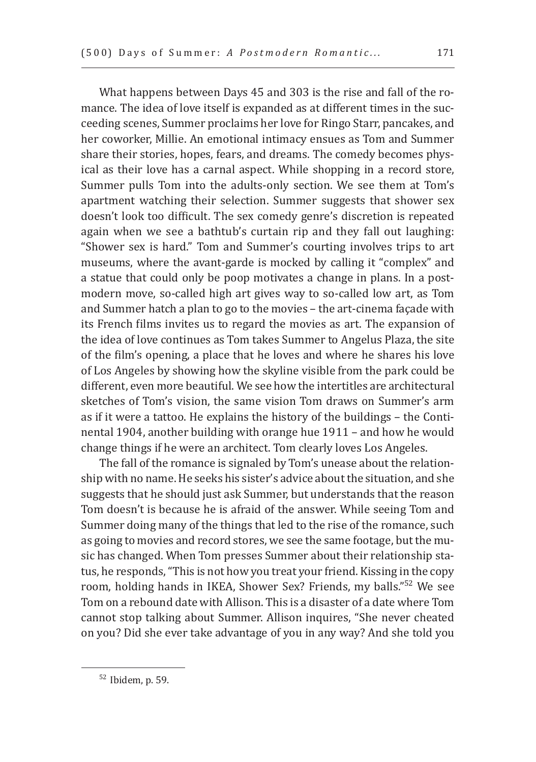What happens between Days 45 and 303 is the rise and fall of the romance. The idea of love itself is expanded as at different times in the succeeding scenes, Summer proclaims her love for Ringo Starr, pancakes, and her coworker, Millie. An emotional intimacy ensues as Tom and Summer share their stories, hopes, fears, and dreams. The comedy becomes physical as their love has a carnal aspect. While shopping in a record store, Summer pulls Tom into the adults-only section. We see them at Tom's apartment watching their selection. Summer suggests that shower sex doesn't look too difficult. The sex comedy genre's discretion is repeated again when we see a bathtub's curtain rip and they fall out laughing: "Shower sex is hard." Tom and Summer's courting involves trips to art museums, where the avant-garde is mocked by calling it "complex" and a statue that could only be poop motivates a change in plans. In a postmodern move, so-called high art gives way to so-called low art, as Tom and Summer hatch a plan to go to the movies – the art-cinema façade with its French films invites us to regard the movies as art. The expansion of the idea of love continues as Tom takes Summer to Angelus Plaza, the site of the film's opening, a place that he loves and where he shares his love of Los Angeles by showing how the skyline visible from the park could be different, even more beautiful. We see how the intertitles are architectural sketches of Tom's vision, the same vision Tom draws on Summer's arm as if it were a tattoo. He explains the history of the buildings – the Continental 1904, another building with orange hue 1911 – and how he would change things if he were an architect. Tom clearly loves Los Angeles.

The fall of the romance is signaled by Tom's unease about the relationship with no name. He seeks his sister's advice about the situation, and she suggests that he should just ask Summer, but understands that the reason Tom doesn't is because he is afraid of the answer. While seeing Tom and Summer doing many of the things that led to the rise of the romance, such as going to movies and record stores, we see the same footage, but the music has changed. When Tom presses Summer about their relationship status, he responds, "This is not how you treat your friend. Kissing in the copy room, holding hands in IKEA, Shower Sex? Friends, my balls."52 We see Tom on a rebound date with Allison. This is a disaster of a date where Tom cannot stop talking about Summer. Allison inquires, "She never cheated on you? Did she ever take advantage of you in any way? And she told you

<sup>52</sup> Ibidem, p. 59.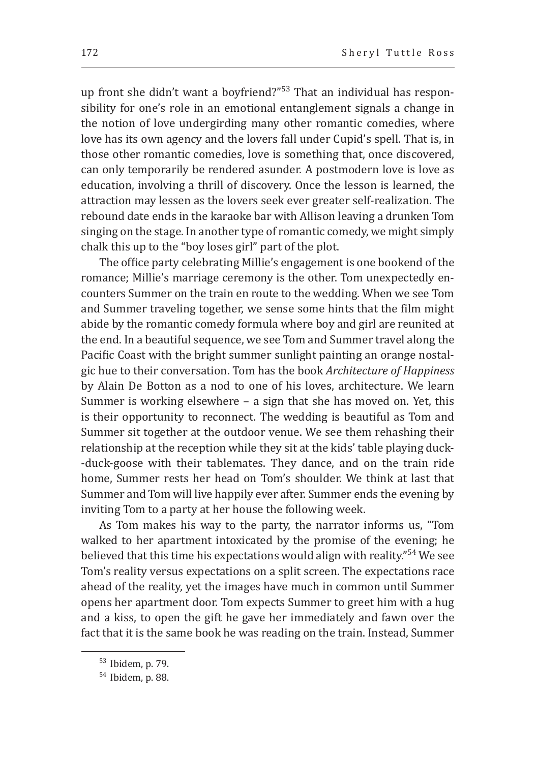up front she didn't want a boyfriend?"<sup>53</sup> That an individual has responsibility for one's role in an emotional entanglement signals a change in the notion of love undergirding many other romantic comedies, where love has its own agency and the lovers fall under Cupid's spell. That is, in those other romantic comedies, love is something that, once discovered, can only temporarily be rendered asunder. A postmodern love is love as education, involving a thrill of discovery. Once the lesson is learned, the attraction may lessen as the lovers seek ever greater self-realization. The rebound date ends in the karaoke bar with Allison leaving a drunken Tom singing on the stage. In another type of romantic comedy, we might simply chalk this up to the "boy loses girl" part of the plot.

The office party celebrating Millie's engagement is one bookend of the romance; Millie's marriage ceremony is the other. Tom unexpectedly encounters Summer on the train en route to the wedding. When we see Tom and Summer traveling together, we sense some hints that the film might abide by the romantic comedy formula where boy and girl are reunited at the end. In a beautiful sequence, we see Tom and Summer travel along the Pacific Coast with the bright summer sunlight painting an orange nostalgic hue to their conversation. Tom has the book *Architecture of Happiness* by Alain De Botton as a nod to one of his loves, architecture. We learn Summer is working elsewhere – a sign that she has moved on. Yet, this is their opportunity to reconnect. The wedding is beautiful as Tom and Summer sit together at the outdoor venue. We see them rehashing their relationship at the reception while they sit at the kids' table playing duck- -duck-goose with their tablemates. They dance, and on the train ride home, Summer rests her head on Tom's shoulder. We think at last that Summer and Tom will live happily ever after. Summer ends the evening by inviting Tom to a party at her house the following week.

As Tom makes his way to the party, the narrator informs us, "Tom walked to her apartment intoxicated by the promise of the evening; he believed that this time his expectations would align with reality."<sup>54</sup> We see Tom's reality versus expectations on a split screen. The expectations race ahead of the reality, yet the images have much in common until Summer opens her apartment door. Tom expects Summer to greet him with a hug and a kiss, to open the gift he gave her immediately and fawn over the fact that it is the same book he was reading on the train. Instead, Summer

<sup>53</sup> Ibidem, p. 79.

<sup>54</sup> Ibidem, p. 88.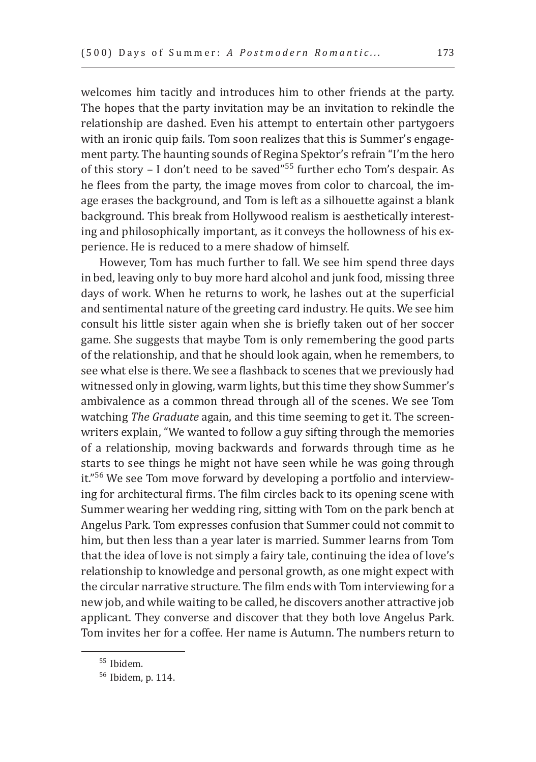welcomes him tacitly and introduces him to other friends at the party. The hopes that the party invitation may be an invitation to rekindle the relationship are dashed. Even his attempt to entertain other partygoers with an ironic quip fails. Tom soon realizes that this is Summer's engagement party. The haunting sounds of Regina Spektor's refrain "I'm the hero of this story – I don't need to be saved"<sup>55</sup> further echo Tom's despair. As he flees from the party, the image moves from color to charcoal, the image erases the background, and Tom is left as a silhouette against a blank background. This break from Hollywood realism is aesthetically interesting and philosophically important, as it conveys the hollowness of his experience. He is reduced to a mere shadow of himself.

However, Tom has much further to fall. We see him spend three days in bed, leaving only to buy more hard alcohol and junk food, missing three days of work. When he returns to work, he lashes out at the superficial and sentimental nature of the greeting card industry. He quits. We see him consult his little sister again when she is briefly taken out of her soccer game. She suggests that maybe Tom is only remembering the good parts of the relationship, and that he should look again, when he remembers, to see what else is there. We see a flashback to scenes that we previously had witnessed only in glowing, warm lights, but this time they show Summer's ambivalence as a common thread through all of the scenes. We see Tom watching *The Graduate* again, and this time seeming to get it. The screenwriters explain, "We wanted to follow a guy sifting through the memories of a relationship, moving backwards and forwards through time as he starts to see things he might not have seen while he was going through it."<sup>56</sup> We see Tom move forward by developing a portfolio and interviewing for architectural firms. The film circles back to its opening scene with Summer wearing her wedding ring, sitting with Tom on the park bench at Angelus Park. Tom expresses confusion that Summer could not commit to him, but then less than a year later is married. Summer learns from Tom that the idea of love is not simply a fairy tale, continuing the idea of love's relationship to knowledge and personal growth, as one might expect with the circular narrative structure. The film ends with Tom interviewing for a new job, and while waiting to be called, he discovers another attractive job applicant. They converse and discover that they both love Angelus Park. Tom invites her for a coffee. Her name is Autumn. The numbers return to

<sup>55</sup> Ibidem.

<sup>56</sup> Ibidem, p. 114.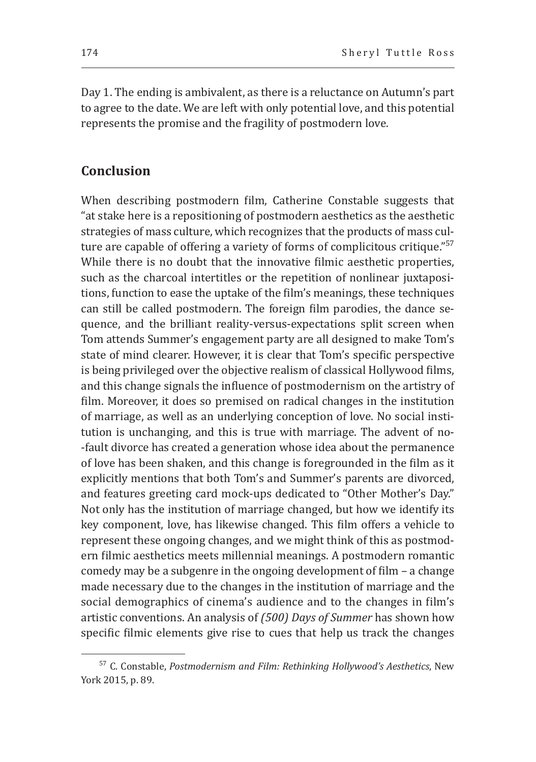Day 1. The ending is ambivalent, as there is a reluctance on Autumn's part to agree to the date. We are left with only potential love, and this potential represents the promise and the fragility of postmodern love.

# **Conclusion**

When describing postmodern film, Catherine Constable suggests that "at stake here is a repositioning of postmodern aesthetics as the aesthetic strategies of mass culture, which recognizes that the products of mass culture are capable of offering a variety of forms of complicitous critique."<sup>57</sup> While there is no doubt that the innovative filmic aesthetic properties, such as the charcoal intertitles or the repetition of nonlinear juxtapositions, function to ease the uptake of the film's meanings, these techniques can still be called postmodern. The foreign film parodies, the dance sequence, and the brilliant reality-versus-expectations split screen when Tom attends Summer's engagement party are all designed to make Tom's state of mind clearer. However, it is clear that Tom's specific perspective is being privileged over the objective realism of classical Hollywood films, and this change signals the influence of postmodernism on the artistry of film. Moreover, it does so premised on radical changes in the institution of marriage, as well as an underlying conception of love. No social institution is unchanging, and this is true with marriage. The advent of no- -fault divorce has created a generation whose idea about the permanence of love has been shaken, and this change is foregrounded in the film as it explicitly mentions that both Tom's and Summer's parents are divorced, and features greeting card mock-ups dedicated to "Other Mother's Day." Not only has the institution of marriage changed, but how we identify its key component, love, has likewise changed. This film offers a vehicle to represent these ongoing changes, and we might think of this as postmodern filmic aesthetics meets millennial meanings. A postmodern romantic comedy may be a subgenre in the ongoing development of film – a change made necessary due to the changes in the institution of marriage and the social demographics of cinema's audience and to the changes in film's artistic conventions. An analysis of *(500) Days of Summer* has shown how specific filmic elements give rise to cues that help us track the changes

<sup>57</sup> C. Constable, *Postmodernism and Film: Rethinking Hollywood's Aesthetics*, New York 2015, p. 89.